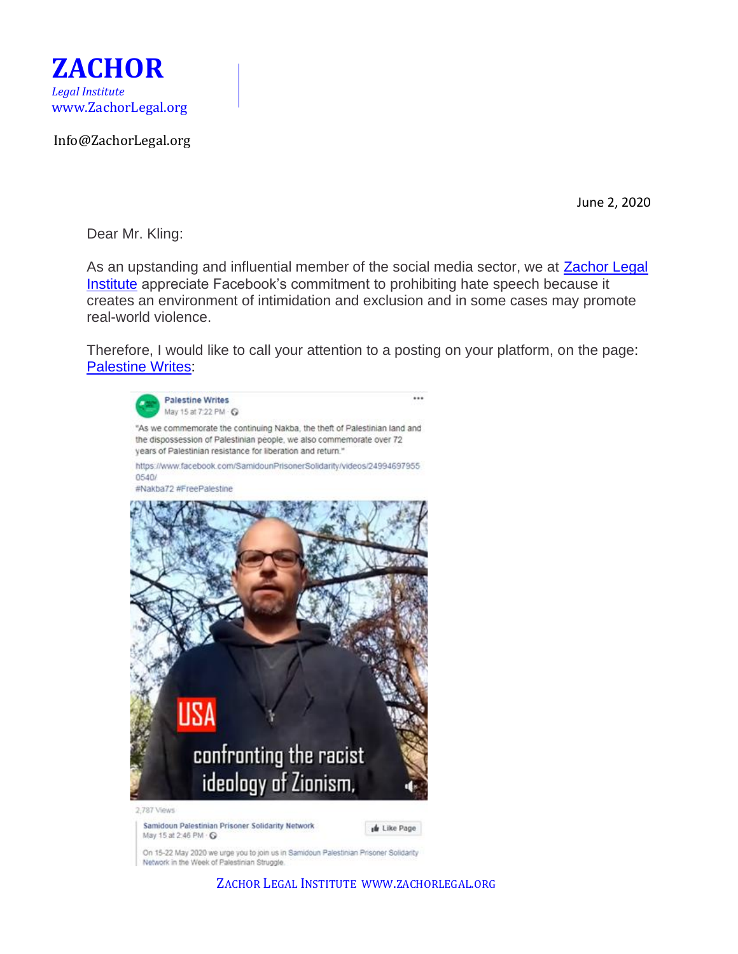

Info@ZachorLegal.org

June 2, 2020

Dear Mr. Kling:

As an upstanding and influential member of the social media sector, we at [Zachor Legal](http://www.zachorlegal.org/)  [Institute](http://www.zachorlegal.org/) appreciate Facebook's commitment to prohibiting hate speech because it creates an environment of intimidation and exclusion and in some cases may promote real-world violence.

Therefore, I would like to call your attention to a posting on your platform, on the page: [Palestine Writes:](https://www.facebook.com/palestinewrites/)



On 15-22 May 2020 we urge you to join us in Samidoun Palestinian Prisoner Solidarity Network in the Week of Palestinian Struggle.

ZACHOR LEGAL INSTITUTE WWW.ZACHORLEGAL.ORG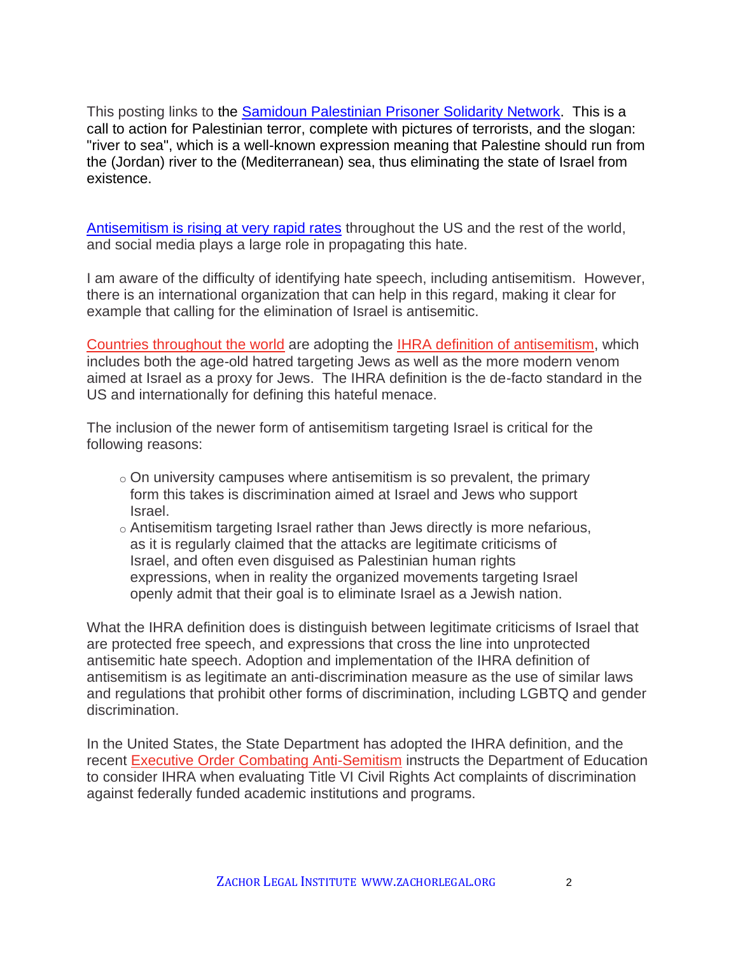This posting links to the [Samidoun Palestinian Prisoner Solidarity Network.](https://samidoun.net/2020/05/call-to-action-week-of-palestinian-struggle-15-22-may-2020/) This is a call to action for Palestinian terror, complete with pictures of terrorists, and the slogan: "river to sea", which is a well-known expression meaning that Palestine should run from the (Jordan) river to the (Mediterranean) sea, thus eliminating the state of Israel from existence.

[Antisemitism is rising at very rapid rates](https://www.wsj.com/articles/coronavirus-sparks-rise-in-anti-semitic-incidents-researchers-say-11587405792) throughout the US and the rest of the world, and social media plays a large role in propagating this hate.

I am aware of the difficulty of identifying hate speech, including antisemitism. However, there is an international organization that can help in this regard, making it clear for example that calling for the elimination of Israel is antisemitic.

[Countries throughout the world](http://www.thetower.org/3462-31-countries-adopt-new-definition-of-anti-semitism-that-includes-anti-zionism/) are adopting the IHRA definition [of antisemitism,](https://www.holocaustremembrance.com/working-definition-antisemitism) which includes both the age-old hatred targeting Jews as well as the more modern venom aimed at Israel as a proxy for Jews. The IHRA definition is the de-facto standard in the US and internationally for defining this hateful menace.

The inclusion of the newer form of antisemitism targeting Israel is critical for the following reasons:

- $\circ$  On university campuses where antisemitism is so prevalent, the primary form this takes is discrimination aimed at Israel and Jews who support Israel.
- $\circ$  Antisemitism targeting Israel rather than Jews directly is more nefarious, as it is regularly claimed that the attacks are legitimate criticisms of Israel, and often even disguised as Palestinian human rights expressions, when in reality the organized movements targeting Israel openly admit that their goal is to eliminate Israel as a Jewish nation.

What the IHRA definition does is distinguish between legitimate criticisms of Israel that are protected free speech, and expressions that cross the line into unprotected antisemitic hate speech. Adoption and implementation of the IHRA definition of antisemitism is as legitimate an anti-discrimination measure as the use of similar laws and regulations that prohibit other forms of discrimination, including LGBTQ and gender discrimination.

In the United States, the State Department has adopted the IHRA definition, and the recent [Executive Order Combating Anti-Semitism](https://www.whitehouse.gov/presidential-actions/executive-order-combating-anti-semitism/) instructs the Department of Education to consider IHRA when evaluating Title VI Civil Rights Act complaints of discrimination against federally funded academic institutions and programs.